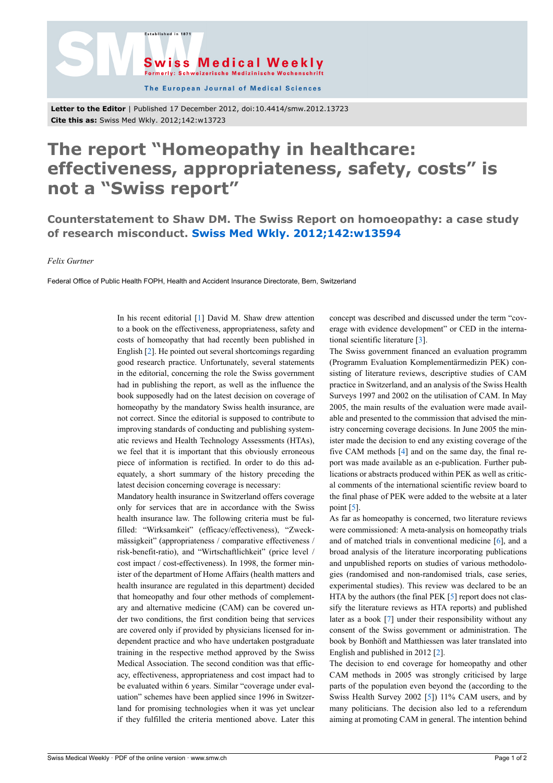

The European Journal of Medical Sciences

**Letter to the Editor** | Published 17 December 2012, doi:10.4414/smw.2012.13723 **Cite this as:** Swiss Med Wkly. 2012;142:w13723

.<br>Established in 187

## **The report "Homeopathy in healthcare: effectiveness, appropriateness, safety, costs" is not a "Swiss report"**

**Counterstatement to Shaw DM. The Swiss Report on homoeopathy: a case study of research misconduct. [Swiss Med Wkly. 2012;142:w13594](http://www.smw.ch/content/smw-2012-13594/)**

*Felix Gurtner*

Federal Office of Public Health FOPH, Health and Accident Insurance Directorate, Bern, Switzerland

In his recent editorial [\[1\]](#page-1-0) David M. Shaw drew attention to a book on the effectiveness, appropriateness, safety and costs of homeopathy that had recently been published in English [[2](#page-1-1)]. He pointed out several shortcomings regarding good research practice. Unfortunately, several statements in the editorial, concerning the role the Swiss government had in publishing the report, as well as the influence the book supposedly had on the latest decision on coverage of homeopathy by the mandatory Swiss health insurance, are not correct. Since the editorial is supposed to contribute to improving standards of conducting and publishing systematic reviews and Health Technology Assessments (HTAs), we feel that it is important that this obviously erroneous piece of information is rectified. In order to do this adequately, a short summary of the history preceding the latest decision concerning coverage is necessary:

Mandatory health insurance in Switzerland offers coverage only for services that are in accordance with the Swiss health insurance law. The following criteria must be fulfilled: "Wirksamkeit" (efficacy/effectiveness), "Zweckmässigkeit" (appropriateness / comparative effectiveness / risk-benefit-ratio), and "Wirtschaftlichkeit" (price level / cost impact / cost-effectiveness). In 1998, the former minister of the department of Home Affairs (health matters and health insurance are regulated in this department) decided that homeopathy and four other methods of complementary and alternative medicine (CAM) can be covered under two conditions, the first condition being that services are covered only if provided by physicians licensed for independent practice and who have undertaken postgraduate training in the respective method approved by the Swiss Medical Association. The second condition was that efficacy, effectiveness, appropriateness and cost impact had to be evaluated within 6 years. Similar "coverage under evaluation" schemes have been applied since 1996 in Switzerland for promising technologies when it was yet unclear if they fulfilled the criteria mentioned above. Later this concept was described and discussed under the term "coverage with evidence development" or CED in the international scientific literature [\[3\]](#page-1-2).

The Swiss government financed an evaluation programm (Programm Evaluation Komplementärmedizin PEK) consisting of literature reviews, descriptive studies of CAM practice in Switzerland, and an analysis of the Swiss Health Surveys 1997 and 2002 on the utilisation of CAM. In May 2005, the main results of the evaluation were made available and presented to the commission that advised the ministry concerning coverage decisions. In June 2005 the minister made the decision to end any existing coverage of the five CAM methods [[4](#page-1-3)] and on the same day, the final report was made available as an e-publication. Further publications or abstracts produced within PEK as well as critical comments of the international scientific review board to the final phase of PEK were added to the website at a later point [\[5\]](#page-1-4).

As far as homeopathy is concerned, two literature reviews were commissioned: A meta-analysis on homeopathy trials and of matched trials in conventional medicine [\[6\]](#page-1-5), and a broad analysis of the literature incorporating publications and unpublished reports on studies of various methodologies (randomised and non-randomised trials, case series, experimental studies). This review was declared to be an HTA by the authors (the final PEK [\[5\]](#page-1-4) report does not classify the literature reviews as HTA reports) and published later as a book [\[7\]](#page-1-6) under their responsibility without any consent of the Swiss government or administration. The book by Bonhöft and Matthiessen was later translated into English and published in 2012 [\[2\]](#page-1-1).

The decision to end coverage for homeopathy and other CAM methods in 2005 was strongly criticised by large parts of the population even beyond the (according to the Swiss Health Survey 2002 [[5](#page-1-4)]) 11% CAM users, and by many politicians. The decision also led to a referendum aiming at promoting CAM in general. The intention behind